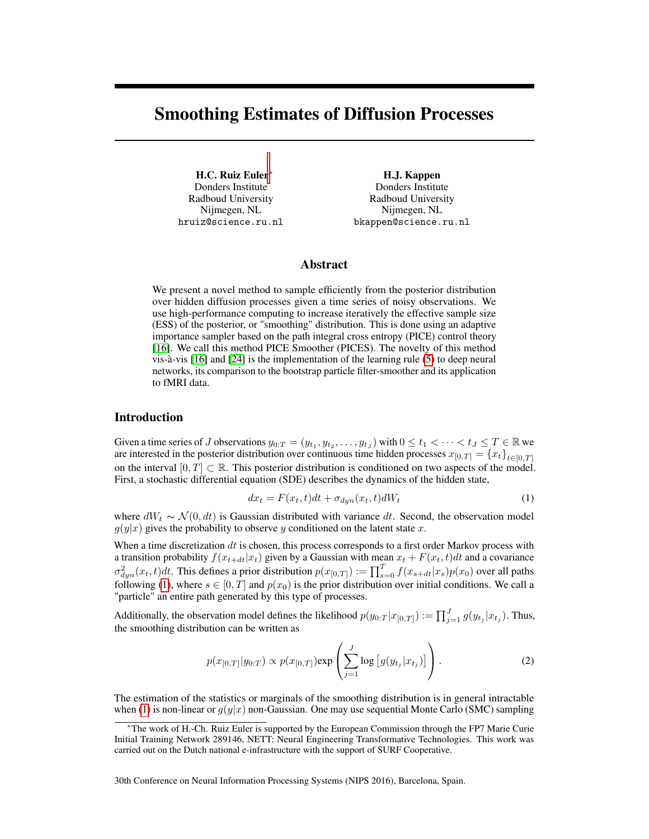# <span id="page-0-1"></span>Smoothing Estimates of Diffusion Processes

H.C. Ruiz Euler<sup>∗</sup> Donders Institute Radboud University Nijmegen, NL hruiz@science.ru.nl

H.J. Kappen Donders Institute Radboud University Nijmegen, NL bkappen@science.ru.nl

## Abstract

We present a novel method to sample efficiently from the posterior distribution over hidden diffusion processes given a time series of noisy observations. We use high-performance computing to increase iteratively the effective sample size (ESS) of the posterior, or "smoothing" distribution. This is done using an adaptive importance sampler based on the path integral cross entropy (PICE) control theory [\[16\]](#page-4-0). We call this method PICE Smoother (PICES). The novelty of this method vis-à-vis [\[16\]](#page-4-0) and [\[24\]](#page-5-0) is the implementation of the learning rule [\(5\)](#page-1-0) to deep neural networks, its comparison to the bootstrap particle filter-smoother and its application to fMRI data.

### Introduction

Given a time series of J observations  $y_{0:T} = (y_{t_1}, y_{t_2}, \dots, y_{t_J})$  with  $0 \le t_1 < \dots < t_J \le T \in \mathbb{R}$  we are interested in the posterior distribution over continuous time hidden processes  $x_{[0,T]} = \{x_t\}_{t \in [0,T]}$ on the interval  $[0, T] \subset \mathbb{R}$ . This posterior distribution is conditioned on two aspects of the model. First, a stochastic differential equation (SDE) describes the dynamics of the hidden state,

<span id="page-0-0"></span>
$$
dx_t = F(x_t, t)dt + \sigma_{dyn}(x_t, t)dW_t
$$
\n(1)

where  $dW_t \sim \mathcal{N}(0, dt)$  is Gaussian distributed with variance dt. Second, the observation model  $g(y|x)$  gives the probability to observe y conditioned on the latent state x.

When a time discretization  $dt$  is chosen, this process corresponds to a first order Markov process with a transition probability  $f(x_{t+dt}|x_t)$  given by a Gaussian with mean  $x_t + F(x_t, t)dt$  and a covariance  $\sigma_{dyn}^2(x_t,t)dt$ . This defines a prior distribution  $p(x_{[0,T]}) := \prod_{s=0}^{T} f(x_{s+dt}|x_s)p(x_0)$  over all paths following [\(1\)](#page-0-0), where  $s \in [0, T]$  and  $p(x_0)$  is the prior distribution over initial conditions. We call a "particle" an entire path generated by this type of processes.

Additionally, the observation model defines the likelihood  $p(y_{0:T} | x_{[0,T]}) := \prod_{j=1}^{J} g(y_{t_j} | x_{t_j})$ . Thus, the smoothing distribution can be written as

$$
p(x_{[0,T]}|y_{0:T}) \propto p(x_{[0,T]}) \exp\left(\sum_{j=1}^{J} \log\left[g(y_{t_j}|x_{t_j})\right]\right).
$$
 (2)

The estimation of the statistics or marginals of the smoothing distribution is in general intractable when [\(1\)](#page-0-0) is non-linear or  $g(y|x)$  non-Gaussian. One may use sequential Monte Carlo (SMC) sampling

30th Conference on Neural Information Processing Systems (NIPS 2016), Barcelona, Spain.

<sup>∗</sup>The work of H.-Ch. Ruiz Euler is supported by the European Commission through the FP7 Marie Curie Initial Training Network 289146, NETT: Neural Engineering Transformative Technologies. This work was carried out on the Dutch national e-infrastructure with the support of SURF Cooperative.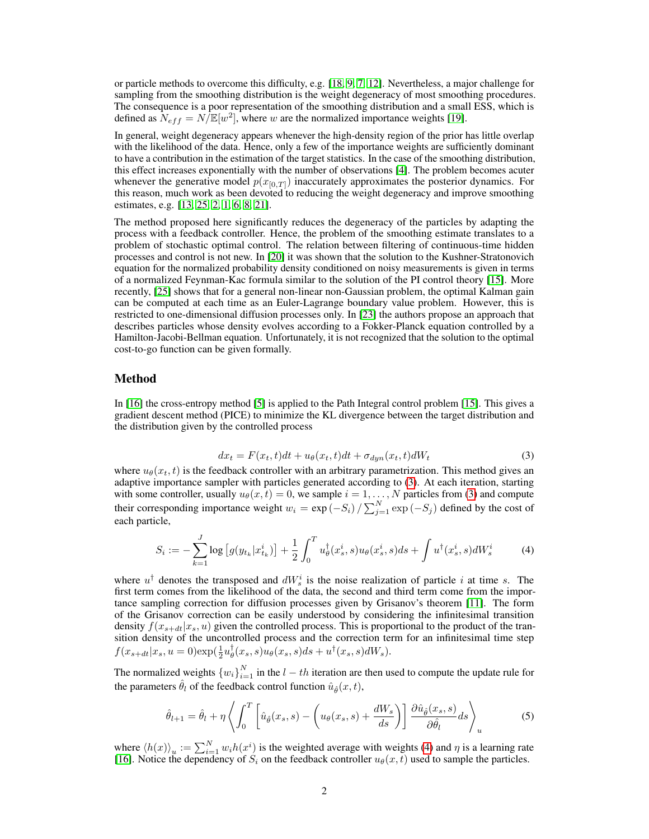or particle methods to overcome this difficulty, e.g. [\[18,](#page-5-1) [9,](#page-4-1) [7,](#page-4-2) [12\]](#page-4-3). Nevertheless, a major challenge for sampling from the smoothing distribution is the weight degeneracy of most smoothing procedures. The consequence is a poor representation of the smoothing distribution and a small ESS, which is defined as  $N_{eff} = N/E[w^2]$ , where w are the normalized importance weights [\[19\]](#page-5-2).

In general, weight degeneracy appears whenever the high-density region of the prior has little overlap with the likelihood of the data. Hence, only a few of the importance weights are sufficiently dominant to have a contribution in the estimation of the target statistics. In the case of the smoothing distribution, this effect increases exponentially with the number of observations [\[4\]](#page-4-4). The problem becomes acuter whenever the generative model  $p(x_{[0,T]})$  inaccurately approximates the posterior dynamics. For this reason, much work as been devoted to reducing the weight degeneracy and improve smoothing estimates, e.g. [\[13,](#page-4-5) [25,](#page-5-3) [2,](#page-4-6) [1,](#page-4-7) [6,](#page-4-8) [8,](#page-4-9) [21\]](#page-5-4).

The method proposed here significantly reduces the degeneracy of the particles by adapting the process with a feedback controller. Hence, the problem of the smoothing estimate translates to a problem of stochastic optimal control. The relation between filtering of continuous-time hidden processes and control is not new. In [\[20\]](#page-5-5) it was shown that the solution to the Kushner-Stratonovich equation for the normalized probability density conditioned on noisy measurements is given in terms of a normalized Feynman-Kac formula similar to the solution of the PI control theory [\[15\]](#page-4-10). More recently, [\[25\]](#page-5-3) shows that for a general non-linear non-Gaussian problem, the optimal Kalman gain can be computed at each time as an Euler-Lagrange boundary value problem. However, this is restricted to one-dimensional diffusion processes only. In [\[23\]](#page-5-6) the authors propose an approach that describes particles whose density evolves according to a Fokker-Planck equation controlled by a Hamilton-Jacobi-Bellman equation. Unfortunately, it is not recognized that the solution to the optimal cost-to-go function can be given formally.

#### Method

In [\[16\]](#page-4-0) the cross-entropy method [\[5\]](#page-4-11) is applied to the Path Integral control problem [\[15\]](#page-4-10). This gives a gradient descent method (PICE) to minimize the KL divergence between the target distribution and the distribution given by the controlled process

<span id="page-1-1"></span>
$$
dx_t = F(x_t, t)dt + u_\theta(x_t, t)dt + \sigma_{dyn}(x_t, t)dW_t
$$
\n(3)

where  $u_{\theta}(x_t, t)$  is the feedback controller with an arbitrary parametrization. This method gives an adaptive importance sampler with particles generated according to [\(3\)](#page-1-1). At each iteration, starting with some controller, usually  $u_{\theta}(x, t) = 0$ , we sample  $i = 1, ..., N$  particles from [\(3\)](#page-1-1) and compute their corresponding importance weight  $w_i = \exp(-S_i) / \sum_{j=1}^{N} \exp(-S_j)$  defined by the cost of each particle,

<span id="page-1-2"></span>
$$
S_i := -\sum_{k=1}^J \log \left[ g(y_{t_k} | x_{t_k}^i) \right] + \frac{1}{2} \int_0^T u_\theta^\dagger(x_s^i, s) u_\theta(x_s^i, s) ds + \int u^\dagger(x_s^i, s) dW_s^i \tag{4}
$$

where  $u^{\dagger}$  denotes the transposed and  $dW_s^i$  is the noise realization of particle i at time s. The first term comes from the likelihood of the data, the second and third term come from the importance sampling correction for diffusion processes given by Grisanov's theorem [\[11\]](#page-4-12). The form of the Grisanov correction can be easily understood by considering the infinitesimal transition density  $f(x_{s+dt}|x_s, u)$  given the controlled process. This is proportional to the product of the transition density of the uncontrolled process and the correction term for an infinitesimal time step  $f(x_{s+dt}|x_s, u=0) \exp(\frac{1}{2}u_{\theta}^{\dagger}(x_s, s)u_{\theta}(x_s, s)ds + u^{\dagger}(x_s, s)dW_s).$ 

The normalized weights  ${w_i}_{i=1}^N$  in the  $l-th$  iteration are then used to compute the update rule for the parameters  $\hat{\theta}_l$  of the feedback control function  $\hat{u}_{\hat{\theta}}(x, t)$ ,

<span id="page-1-0"></span>
$$
\hat{\theta}_{l+1} = \hat{\theta}_l + \eta \left\langle \int_0^T \left[ \hat{u}_{\hat{\theta}}(x_s, s) - \left( u_{\theta}(x_s, s) + \frac{dW_s}{ds} \right) \right] \frac{\partial \hat{u}_{\hat{\theta}}(x_s, s)}{\partial \hat{\theta}_l} ds \right\rangle_u \tag{5}
$$

where  $\langle h(x) \rangle_u := \sum_{i=1}^N w_i h(x^i)$  is the weighted average with weights [\(4\)](#page-1-2) and  $\eta$  is a learning rate [\[16\]](#page-4-0). Notice the dependency of  $S_i$  on the feedback controller  $u_\theta(x, t)$  used to sample the particles.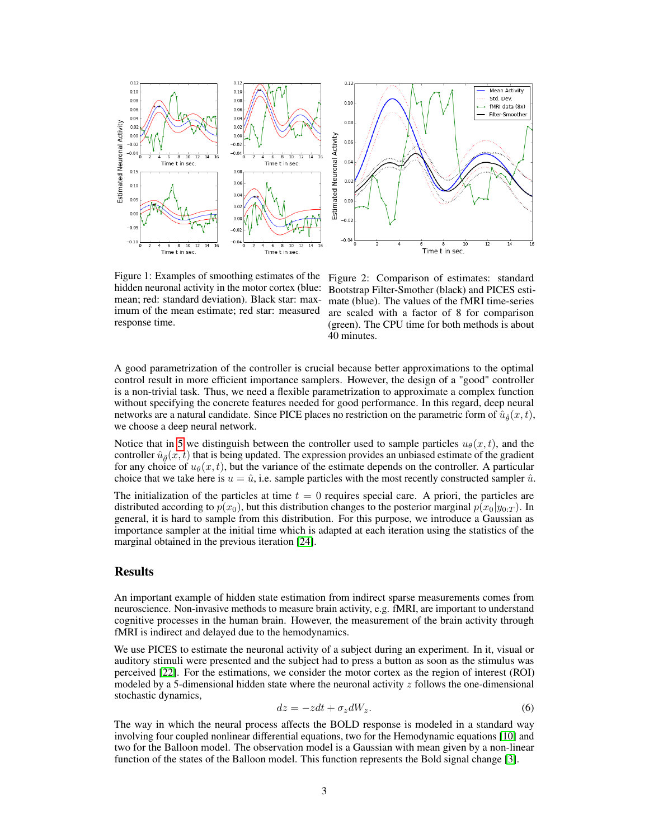

<span id="page-2-0"></span>Figure 1: Examples of smoothing estimates of the hidden neuronal activity in the motor cortex (blue: mean; red: standard deviation). Black star: maximum of the mean estimate; red star: measured response time.

<span id="page-2-1"></span>Figure 2: Comparison of estimates: standard Bootstrap Filter-Smother (black) and PICES estimate (blue). The values of the fMRI time-series are scaled with a factor of 8 for comparison (green). The CPU time for both methods is about 40 minutes.

A good parametrization of the controller is crucial because better approximations to the optimal control result in more efficient importance samplers. However, the design of a "good" controller is a non-trivial task. Thus, we need a flexible parametrization to approximate a complex function without specifying the concrete features needed for good performance. In this regard, deep neural networks are a natural candidate. Since PICE places no restriction on the parametric form of  $\hat{u}_{\hat{a}}(x, t)$ , we choose a deep neural network.

Notice that in [5](#page-1-0) we distinguish between the controller used to sample particles  $u_{\theta}(x, t)$ , and the controller  $\hat{u}_\text{a}(x, t)$  that is being updated. The expression provides an unbiased estimate of the gradient for any choice of  $u_{\theta}(x, t)$ , but the variance of the estimate depends on the controller. A particular choice that we take here is  $u = \hat{u}$ , i.e. sample particles with the most recently constructed sampler  $\hat{u}$ .

The initialization of the particles at time  $t = 0$  requires special care. A priori, the particles are distributed according to  $p(x_0)$ , but this distribution changes to the posterior marginal  $p(x_0|y_{0:T})$ . In general, it is hard to sample from this distribution. For this purpose, we introduce a Gaussian as importance sampler at the initial time which is adapted at each iteration using the statistics of the marginal obtained in the previous iteration [\[24\]](#page-5-0).

## Results

An important example of hidden state estimation from indirect sparse measurements comes from neuroscience. Non-invasive methods to measure brain activity, e.g. fMRI, are important to understand cognitive processes in the human brain. However, the measurement of the brain activity through fMRI is indirect and delayed due to the hemodynamics.

We use PICES to estimate the neuronal activity of a subject during an experiment. In it, visual or auditory stimuli were presented and the subject had to press a button as soon as the stimulus was perceived [\[22\]](#page-5-7). For the estimations, we consider the motor cortex as the region of interest (ROI) modeled by a 5-dimensional hidden state where the neuronal activity  $z$  follows the one-dimensional stochastic dynamics,

$$
dz = -zdt + \sigma_z dW_z.
$$
 (6)

The way in which the neural process affects the BOLD response is modeled in a standard way involving four coupled nonlinear differential equations, two for the Hemodynamic equations [\[10\]](#page-4-13) and two for the Balloon model. The observation model is a Gaussian with mean given by a non-linear function of the states of the Balloon model. This function represents the Bold signal change [\[3\]](#page-4-14).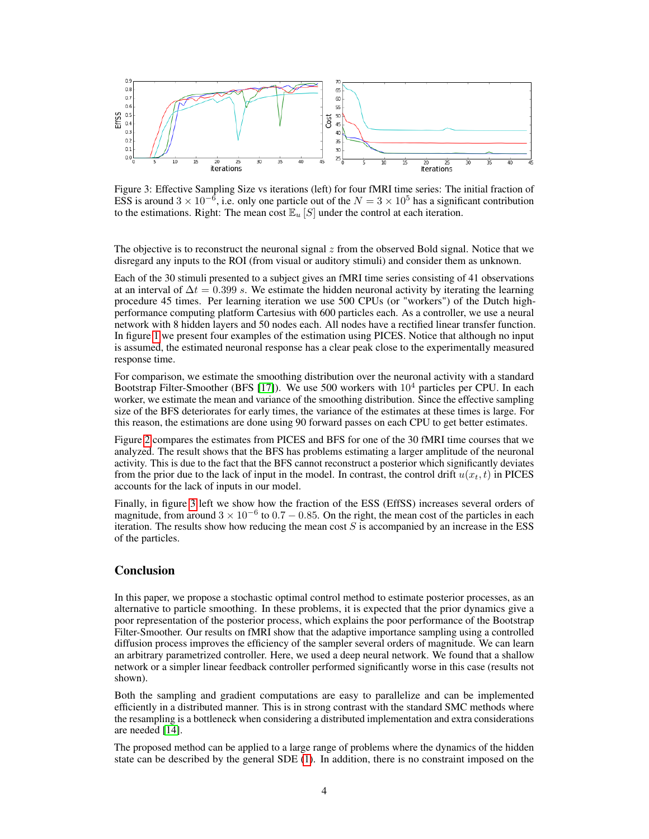

<span id="page-3-0"></span>Figure 3: Effective Sampling Size vs iterations (left) for four fMRI time series: The initial fraction of ESS is around  $3 \times 10^{-6}$ , i.e. only one particle out of the  $N = 3 \times 10^5$  has a significant contribution to the estimations. Right: The mean cost  $\mathbb{E}_u[S]$  under the control at each iteration.

The objective is to reconstruct the neuronal signal  $z$  from the observed Bold signal. Notice that we disregard any inputs to the ROI (from visual or auditory stimuli) and consider them as unknown.

Each of the 30 stimuli presented to a subject gives an fMRI time series consisting of 41 observations at an interval of  $\Delta t = 0.399$  s. We estimate the hidden neuronal activity by iterating the learning procedure 45 times. Per learning iteration we use 500 CPUs (or "workers") of the Dutch highperformance computing platform Cartesius with 600 particles each. As a controller, we use a neural network with 8 hidden layers and 50 nodes each. All nodes have a rectified linear transfer function. In figure [1](#page-2-0) we present four examples of the estimation using PICES. Notice that although no input is assumed, the estimated neuronal response has a clear peak close to the experimentally measured response time.

For comparison, we estimate the smoothing distribution over the neuronal activity with a standard Bootstrap Filter-Smoother (BFS [\[17\]](#page-4-15)). We use 500 workers with  $10<sup>4</sup>$  particles per CPU. In each worker, we estimate the mean and variance of the smoothing distribution. Since the effective sampling size of the BFS deteriorates for early times, the variance of the estimates at these times is large. For this reason, the estimations are done using 90 forward passes on each CPU to get better estimates.

Figure [2](#page-2-1) compares the estimates from PICES and BFS for one of the 30 fMRI time courses that we analyzed. The result shows that the BFS has problems estimating a larger amplitude of the neuronal activity. This is due to the fact that the BFS cannot reconstruct a posterior which significantly deviates from the prior due to the lack of input in the model. In contrast, the control drift  $u(x_t, t)$  in PICES accounts for the lack of inputs in our model.

Finally, in figure [3](#page-3-0) left we show how the fraction of the ESS (EffSS) increases several orders of magnitude, from around  $3 \times 10^{-6}$  to  $0.7 - 0.85$ . On the right, the mean cost of the particles in each iteration. The results show how reducing the mean cost  $S$  is accompanied by an increase in the ESS of the particles.

#### **Conclusion**

In this paper, we propose a stochastic optimal control method to estimate posterior processes, as an alternative to particle smoothing. In these problems, it is expected that the prior dynamics give a poor representation of the posterior process, which explains the poor performance of the Bootstrap Filter-Smoother. Our results on fMRI show that the adaptive importance sampling using a controlled diffusion process improves the efficiency of the sampler several orders of magnitude. We can learn an arbitrary parametrized controller. Here, we used a deep neural network. We found that a shallow network or a simpler linear feedback controller performed significantly worse in this case (results not shown).

Both the sampling and gradient computations are easy to parallelize and can be implemented efficiently in a distributed manner. This is in strong contrast with the standard SMC methods where the resampling is a bottleneck when considering a distributed implementation and extra considerations are needed [\[14\]](#page-4-16).

The proposed method can be applied to a large range of problems where the dynamics of the hidden state can be described by the general SDE [\(1\)](#page-0-0). In addition, there is no constraint imposed on the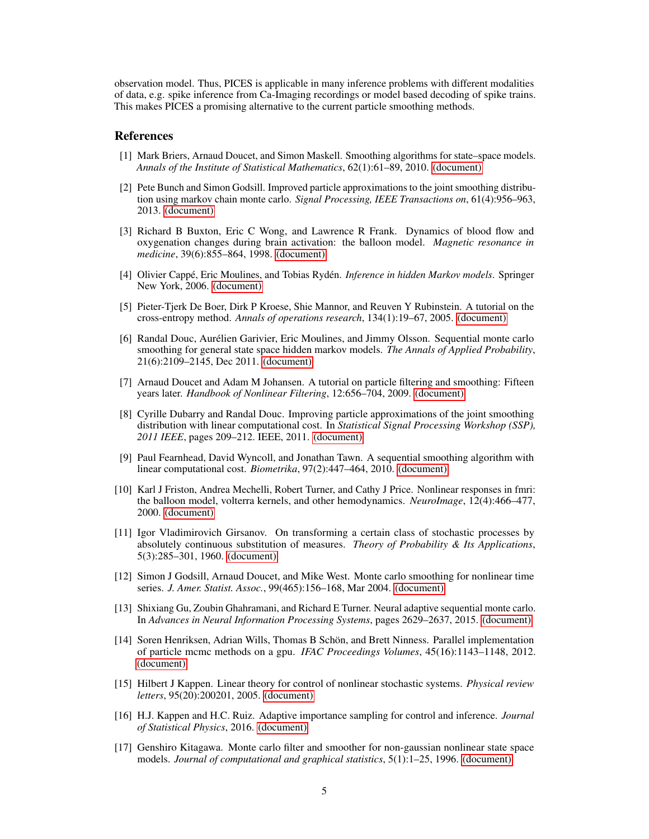observation model. Thus, PICES is applicable in many inference problems with different modalities of data, e.g. spike inference from Ca-Imaging recordings or model based decoding of spike trains. This makes PICES a promising alternative to the current particle smoothing methods.

#### References

- <span id="page-4-7"></span>[1] Mark Briers, Arnaud Doucet, and Simon Maskell. Smoothing algorithms for state–space models. *Annals of the Institute of Statistical Mathematics*, 62(1):61–89, 2010. [\(document\)](#page-0-1)
- <span id="page-4-6"></span>[2] Pete Bunch and Simon Godsill. Improved particle approximations to the joint smoothing distribution using markov chain monte carlo. *Signal Processing, IEEE Transactions on*, 61(4):956–963, 2013. [\(document\)](#page-0-1)
- <span id="page-4-14"></span>[3] Richard B Buxton, Eric C Wong, and Lawrence R Frank. Dynamics of blood flow and oxygenation changes during brain activation: the balloon model. *Magnetic resonance in medicine*, 39(6):855–864, 1998. [\(document\)](#page-0-1)
- <span id="page-4-4"></span>[4] Olivier Cappé, Eric Moulines, and Tobias Rydén. *Inference in hidden Markov models*. Springer New York, 2006. [\(document\)](#page-0-1)
- <span id="page-4-11"></span>[5] Pieter-Tjerk De Boer, Dirk P Kroese, Shie Mannor, and Reuven Y Rubinstein. A tutorial on the cross-entropy method. *Annals of operations research*, 134(1):19–67, 2005. [\(document\)](#page-0-1)
- <span id="page-4-8"></span>[6] Randal Douc, Aurélien Garivier, Eric Moulines, and Jimmy Olsson. Sequential monte carlo smoothing for general state space hidden markov models. *The Annals of Applied Probability*, 21(6):2109–2145, Dec 2011. [\(document\)](#page-0-1)
- <span id="page-4-2"></span>[7] Arnaud Doucet and Adam M Johansen. A tutorial on particle filtering and smoothing: Fifteen years later. *Handbook of Nonlinear Filtering*, 12:656–704, 2009. [\(document\)](#page-0-1)
- <span id="page-4-9"></span>[8] Cyrille Dubarry and Randal Douc. Improving particle approximations of the joint smoothing distribution with linear computational cost. In *Statistical Signal Processing Workshop (SSP), 2011 IEEE*, pages 209–212. IEEE, 2011. [\(document\)](#page-0-1)
- <span id="page-4-1"></span>[9] Paul Fearnhead, David Wyncoll, and Jonathan Tawn. A sequential smoothing algorithm with linear computational cost. *Biometrika*, 97(2):447–464, 2010. [\(document\)](#page-0-1)
- <span id="page-4-13"></span>[10] Karl J Friston, Andrea Mechelli, Robert Turner, and Cathy J Price. Nonlinear responses in fmri: the balloon model, volterra kernels, and other hemodynamics. *NeuroImage*, 12(4):466–477, 2000. [\(document\)](#page-0-1)
- <span id="page-4-12"></span>[11] Igor Vladimirovich Girsanov. On transforming a certain class of stochastic processes by absolutely continuous substitution of measures. *Theory of Probability & Its Applications*, 5(3):285–301, 1960. [\(document\)](#page-0-1)
- <span id="page-4-3"></span>[12] Simon J Godsill, Arnaud Doucet, and Mike West. Monte carlo smoothing for nonlinear time series. *J. Amer. Statist. Assoc.*, 99(465):156–168, Mar 2004. [\(document\)](#page-0-1)
- <span id="page-4-5"></span>[13] Shixiang Gu, Zoubin Ghahramani, and Richard E Turner. Neural adaptive sequential monte carlo. In *Advances in Neural Information Processing Systems*, pages 2629–2637, 2015. [\(document\)](#page-0-1)
- <span id="page-4-16"></span>[14] Soren Henriksen, Adrian Wills, Thomas B Schön, and Brett Ninness. Parallel implementation of particle mcmc methods on a gpu. *IFAC Proceedings Volumes*, 45(16):1143–1148, 2012. [\(document\)](#page-0-1)
- <span id="page-4-10"></span>[15] Hilbert J Kappen. Linear theory for control of nonlinear stochastic systems. *Physical review letters*, 95(20):200201, 2005. [\(document\)](#page-0-1)
- <span id="page-4-0"></span>[16] H.J. Kappen and H.C. Ruiz. Adaptive importance sampling for control and inference. *Journal of Statistical Physics*, 2016. [\(document\)](#page-0-1)
- <span id="page-4-15"></span>[17] Genshiro Kitagawa. Monte carlo filter and smoother for non-gaussian nonlinear state space models. *Journal of computational and graphical statistics*, 5(1):1–25, 1996. [\(document\)](#page-0-1)